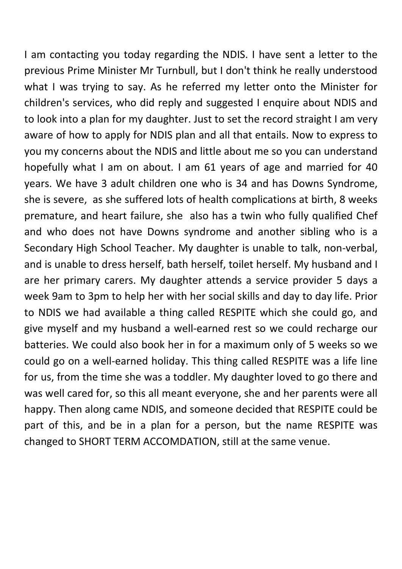I am contacting you today regarding the NDIS. I have sent a letter to the previous Prime Minister Mr Turnbull, but I don't think he really understood what I was trying to say. As he referred my letter onto the Minister for children's services, who did reply and suggested I enquire about NDIS and to look into a plan for my daughter. Just to set the record straight I am very aware of how to apply for NDIS plan and all that entails. Now to express to you my concerns about the NDIS and little about me so you can understand hopefully what I am on about. I am 61 years of age and married for 40 years. We have 3 adult children one who is 34 and has Downs Syndrome, she is severe, as she suffered lots of health complications at birth, 8 weeks premature, and heart failure, she also has a twin who fully qualified Chef and who does not have Downs syndrome and another sibling who is a Secondary High School Teacher. My daughter is unable to talk, non-verbal, and is unable to dress herself, bath herself, toilet herself. My husband and I are her primary carers. My daughter attends a service provider 5 days a week 9am to 3pm to help her with her social skills and day to day life. Prior to NDIS we had available a thing called RESPITE which she could go, and give myself and my husband a well-earned rest so we could recharge our batteries. We could also book her in for a maximum only of 5 weeks so we could go on a well-earned holiday. This thing called RESPITE was a life line for us, from the time she was a toddler. My daughter loved to go there and was well cared for, so this all meant everyone, she and her parents were all happy. Then along came NDIS, and someone decided that RESPITE could be part of this, and be in a plan for a person, but the name RESPITE was changed to SHORT TERM ACCOMDATION, still at the same venue.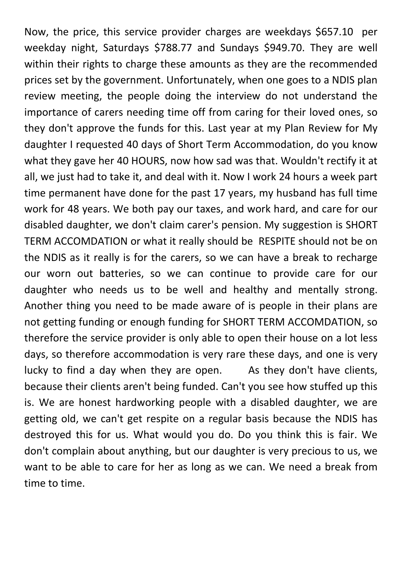Now, the price, this service provider charges are weekdays \$657.10 per weekday night, Saturdays \$788.77 and Sundays \$949.70. They are well within their rights to charge these amounts as they are the recommended prices set by the government. Unfortunately, when one goes to a NDIS plan review meeting, the people doing the interview do not understand the importance of carers needing time off from caring for their loved ones, so they don't approve the funds for this. Last year at my Plan Review for My daughter I requested 40 days of Short Term Accommodation, do you know what they gave her 40 HOURS, now how sad was that. Wouldn't rectify it at all, we just had to take it, and deal with it. Now I work 24 hours a week part time permanent have done for the past 17 years, my husband has full time work for 48 years. We both pay our taxes, and work hard, and care for our disabled daughter, we don't claim carer's pension. My suggestion is SHORT TERM ACCOMDATION or what it really should be RESPITE should not be on the NDIS as it really is for the carers, so we can have a break to recharge our worn out batteries, so we can continue to provide care for our daughter who needs us to be well and healthy and mentally strong. Another thing you need to be made aware of is people in their plans are not getting funding or enough funding for SHORT TERM ACCOMDATION, so therefore the service provider is only able to open their house on a lot less days, so therefore accommodation is very rare these days, and one is very lucky to find a day when they are open. As they don't have clients, because their clients aren't being funded. Can't you see how stuffed up this is. We are honest hardworking people with a disabled daughter, we are getting old, we can't get respite on a regular basis because the NDIS has destroyed this for us. What would you do. Do you think this is fair. We don't complain about anything, but our daughter is very precious to us, we want to be able to care for her as long as we can. We need a break from time to time.